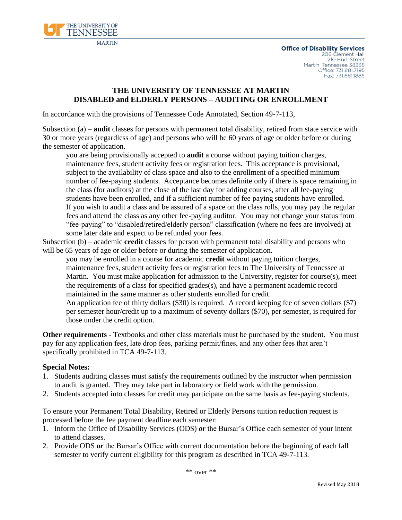

### **THE UNIVERSITY OF TENNESSEE AT MARTIN DISABLED and ELDERLY PERSONS – AUDITING OR ENROLLMENT**

In accordance with the provisions of Tennessee Code Annotated, Section 49-7-113,

Subsection (a) – **audit** classes for persons with permanent total disability, retired from state service with 30 or more years (regardless of age) and persons who will be 60 years of age or older before or during the semester of application.

you are being provisionally accepted to **audit** a course without paying tuition charges, maintenance fees, student activity fees or registration fees. This acceptance is provisional, subject to the availability of class space and also to the enrollment of a specified minimum number of fee-paying students. Acceptance becomes definite only if there is space remaining in the class (for auditors) at the close of the last day for adding courses, after all fee-paying students have been enrolled, and if a sufficient number of fee paying students have enrolled. If you wish to audit a class and be assured of a space on the class rolls, you may pay the regular fees and attend the class as any other fee-paying auditor. You may not change your status from "fee-paying" to "disabled/retired/elderly person" classification (where no fees are involved) at some later date and expect to be refunded your fees.

Subsection (b) – academic **credit** classes for person with permanent total disability and persons who will be 65 years of age or older before or during the semester of application.

you may be enrolled in a course for academic **credit** without paying tuition charges, maintenance fees, student activity fees or registration fees to The University of Tennessee at Martin. You must make application for admission to the University, register for course(s), meet the requirements of a class for specified grades(s), and have a permanent academic record maintained in the same manner as other students enrolled for credit.

An application fee of thirty dollars (\$30) is required. A record keeping fee of seven dollars (\$7) per semester hour/credit up to a maximum of seventy dollars (\$70), per semester, is required for those under the credit option.

**Other requirements** - Textbooks and other class materials must be purchased by the student. You must pay for any application fees, late drop fees, parking permit/fines, and any other fees that aren't specifically prohibited in TCA 49-7-113.

#### **Special Notes:**

- 1. Students auditing classes must satisfy the requirements outlined by the instructor when permission to audit is granted. They may take part in laboratory or field work with the permission.
- 2. Students accepted into classes for credit may participate on the same basis as fee-paying students.

To ensure your Permanent Total Disability, Retired or Elderly Persons tuition reduction request is processed before the fee payment deadline each semester:

- 1. Inform the Office of Disability Services (ODS) *or* the Bursar's Office each semester of your intent to attend classes.
- 2. Provide ODS *or* the Bursar's Office with current documentation before the beginning of each fall semester to verify current eligibility for this program as described in TCA 49-7-113.